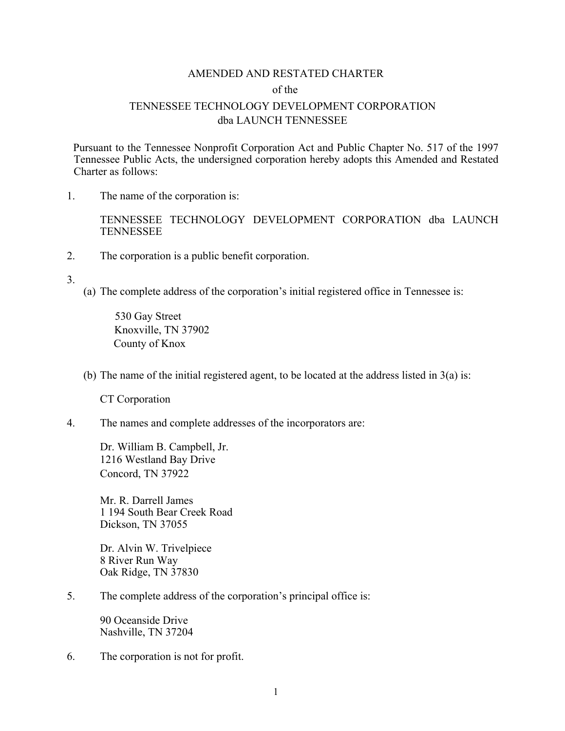# AMENDED AND RESTATED CHARTER of the TENNESSEE TECHNOLOGY DEVELOPMENT CORPORATION dba LAUNCH TENNESSEE

Pursuant to the Tennessee Nonprofit Corporation Act and Public Chapter No. 517 of the 1997 Tennessee Public Acts, the undersigned corporation hereby adopts this Amended and Restated Charter as follows:

1. The name of the corporation is:

TENNESSEE TECHNOLOGY DEVELOPMENT CORPORATION dba LAUNCH **TENNESSEE** 

2. The corporation is a public benefit corporation.

3.

(a) The complete address of the corporation's initial registered office in Tennessee is:

530 Gay Street Knoxville, TN 37902 County of Knox

(b) The name of the initial registered agent, to be located at the address listed in  $3(a)$  is:

CT Corporation

4. The names and complete addresses of the incorporators are:

Dr. William B. Campbell, Jr. 1216 Westland Bay Drive Concord, TN 37922

Mr. R. Darrell James 1 194 South Bear Creek Road Dickson, TN 37055

Dr. Alvin W. Trivelpiece 8 River Run Way Oak Ridge, TN 37830

5. The complete address of the corporation's principal office is:

90 Oceanside Drive Nashville, TN 37204

6. The corporation is not for profit.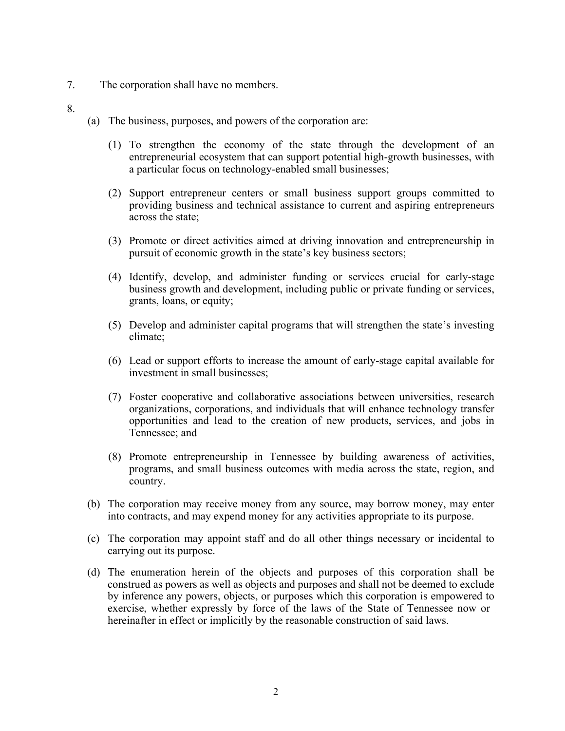- 7. The corporation shall have no members.
- 8.
- (a) The business, purposes, and powers of the corporation are:
	- (1) To strengthen the economy of the state through the development of an entrepreneurial ecosystem that can support potential high-growth businesses, with a particular focus on technology-enabled small businesses;
	- (2) Support entrepreneur centers or small business support groups committed to providing business and technical assistance to current and aspiring entrepreneurs across the state;
	- (3) Promote or direct activities aimed at driving innovation and entrepreneurship in pursuit of economic growth in the state's key business sectors;
	- (4) Identify, develop, and administer funding or services crucial for early-stage business growth and development, including public or private funding or services, grants, loans, or equity;
	- (5) Develop and administer capital programs that will strengthen the state's investing climate;
	- (6) Lead or support efforts to increase the amount of early-stage capital available for investment in small businesses;
	- (7) Foster cooperative and collaborative associations between universities, research organizations, corporations, and individuals that will enhance technology transfer opportunities and lead to the creation of new products, services, and jobs in Tennessee; and
	- (8) Promote entrepreneurship in Tennessee by building awareness of activities, programs, and small business outcomes with media across the state, region, and country.
- (b) The corporation may receive money from any source, may borrow money, may enter into contracts, and may expend money for any activities appropriate to its purpose.
- (c) The corporation may appoint staff and do all other things necessary or incidental to carrying out its purpose.
- (d) The enumeration herein of the objects and purposes of this corporation shall be construed as powers as well as objects and purposes and shall not be deemed to exclude by inference any powers, objects, or purposes which this corporation is empowered to exercise, whether expressly by force of the laws of the State of Tennessee now or hereinafter in effect or implicitly by the reasonable construction of said laws.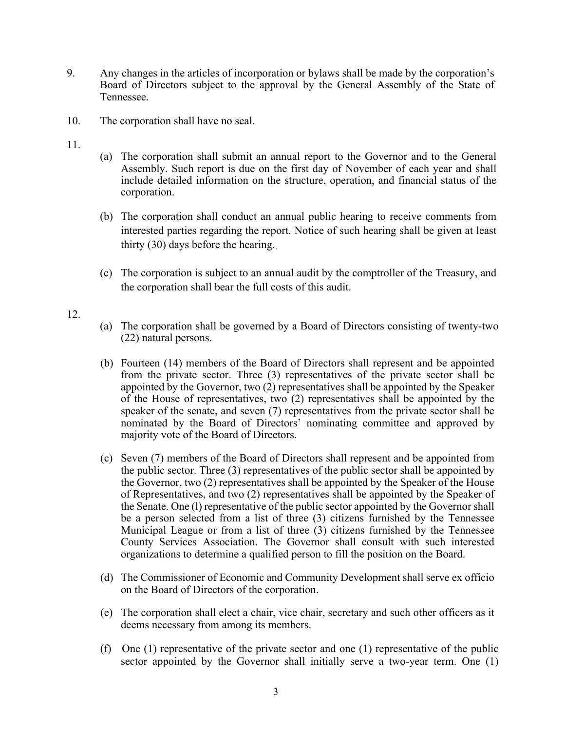- 9. Any changes in the articles of incorporation or bylaws shall be made by the corporation's Board of Directors subject to the approval by the General Assembly of the State of Tennessee.
- 10. The corporation shall have no seal.
- 11.
- (a) The corporation shall submit an annual report to the Governor and to the General Assembly. Such report is due on the first day of November of each year and shall include detailed information on the structure, operation, and financial status of the corporation.
- (b) The corporation shall conduct an annual public hearing to receive comments from interested parties regarding the report. Notice of such hearing shall be given at least thirty (30) days before the hearing.
- (c) The corporation is subject to an annual audit by the comptroller of the Treasury, and the corporation shall bear the full costs of this audit.
- 12.
- (a) The corporation shall be governed by a Board of Directors consisting of twenty-two (22) natural persons.
- (b) Fourteen (14) members of the Board of Directors shall represent and be appointed from the private sector. Three (3) representatives of the private sector shall be appointed by the Governor, two (2) representatives shall be appointed by the Speaker of the House of representatives, two (2) representatives shall be appointed by the speaker of the senate, and seven (7) representatives from the private sector shall be nominated by the Board of Directors' nominating committee and approved by majority vote of the Board of Directors.
- (c) Seven (7) members of the Board of Directors shall represent and be appointed from the public sector. Three (3) representatives of the public sector shall be appointed by the Governor, two (2) representatives shall be appointed by the Speaker of the House of Representatives, and two (2) representatives shall be appointed by the Speaker of the Senate. One (l) representative of the public sector appointed by the Governor shall be a person selected from a list of three (3) citizens furnished by the Tennessee Municipal League or from a list of three (3) citizens furnished by the Tennessee County Services Association. The Governor shall consult with such interested organizations to determine a qualified person to fill the position on the Board.
- (d) The Commissioner of Economic and Community Development shall serve ex officio on the Board of Directors of the corporation.
- (e) The corporation shall elect a chair, vice chair, secretary and such other officers as it deems necessary from among its members.
- (f) One (1) representative of the private sector and one (1) representative of the public sector appointed by the Governor shall initially serve a two-year term. One (1)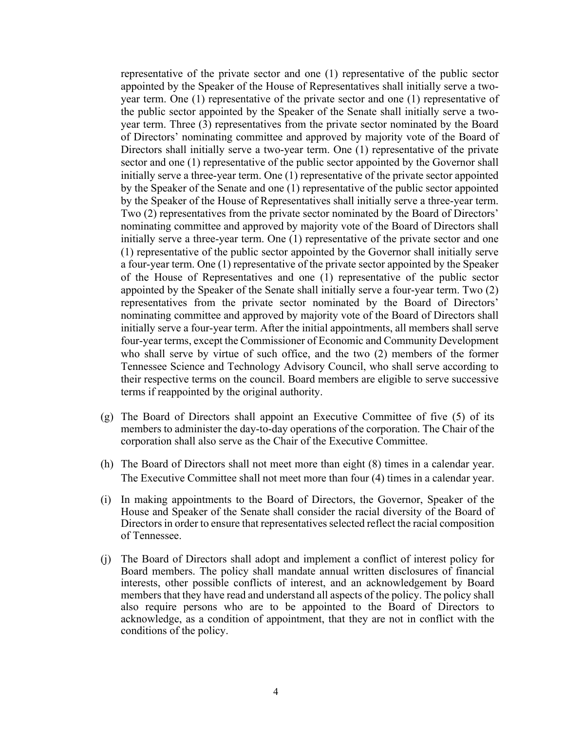representative of the private sector and one (1) representative of the public sector appointed by the Speaker of the House of Representatives shall initially serve a twoyear term. One (1) representative of the private sector and one (1) representative of the public sector appointed by the Speaker of the Senate shall initially serve a twoyear term. Three (3) representatives from the private sector nominated by the Board of Directors' nominating committee and approved by majority vote of the Board of Directors shall initially serve a two-year term. One (1) representative of the private sector and one (1) representative of the public sector appointed by the Governor shall initially serve a three-year term. One (1) representative of the private sector appointed by the Speaker of the Senate and one (1) representative of the public sector appointed by the Speaker of the House of Representatives shall initially serve a three-year term. Two (2) representatives from the private sector nominated by the Board of Directors' nominating committee and approved by majority vote of the Board of Directors shall initially serve a three-year term. One (1) representative of the private sector and one (1) representative of the public sector appointed by the Governor shall initially serve a four-year term. One (1) representative of the private sector appointed by the Speaker of the House of Representatives and one (1) representative of the public sector appointed by the Speaker of the Senate shall initially serve a four-year term. Two (2) representatives from the private sector nominated by the Board of Directors' nominating committee and approved by majority vote of the Board of Directors shall initially serve a four-year term. After the initial appointments, all members shall serve four-year terms, except the Commissioner of Economic and Community Development who shall serve by virtue of such office, and the two (2) members of the former Tennessee Science and Technology Advisory Council, who shall serve according to their respective terms on the council. Board members are eligible to serve successive terms if reappointed by the original authority.

- (g) The Board of Directors shall appoint an Executive Committee of five (5) of its members to administer the day-to-day operations of the corporation. The Chair of the corporation shall also serve as the Chair of the Executive Committee.
- (h) The Board of Directors shall not meet more than eight (8) times in a calendar year. The Executive Committee shall not meet more than four (4) times in a calendar year.
- (i) In making appointments to the Board of Directors, the Governor, Speaker of the House and Speaker of the Senate shall consider the racial diversity of the Board of Directors in order to ensure that representatives selected reflect the racial composition of Tennessee.
- (j) The Board of Directors shall adopt and implement a conflict of interest policy for Board members. The policy shall mandate annual written disclosures of financial interests, other possible conflicts of interest, and an acknowledgement by Board members that they have read and understand all aspects of the policy. The policy shall also require persons who are to be appointed to the Board of Directors to acknowledge, as a condition of appointment, that they are not in conflict with the conditions of the policy.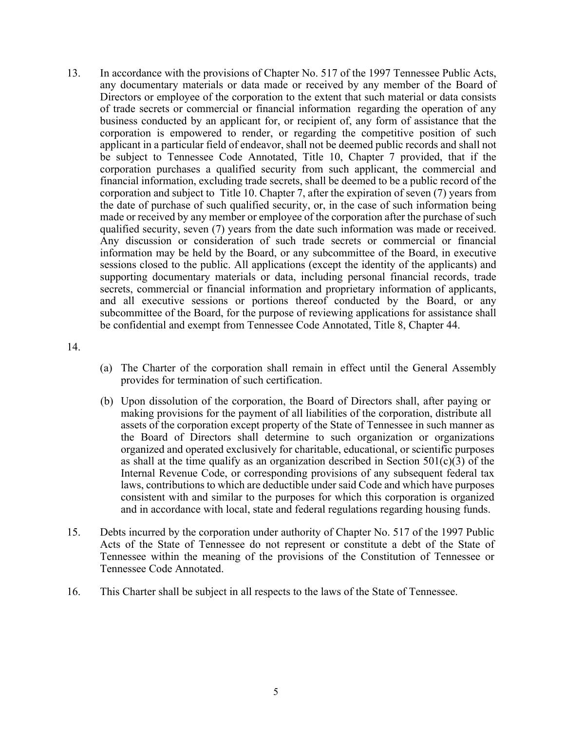13. In accordance with the provisions of Chapter No. 517 of the 1997 Tennessee Public Acts, any documentary materials or data made or received by any member of the Board of Directors or employee of the corporation to the extent that such material or data consists of trade secrets or commercial or financial information regarding the operation of any business conducted by an applicant for, or recipient of, any form of assistance that the corporation is empowered to render, or regarding the competitive position of such applicant in a particular field of endeavor, shall not be deemed public records and shall not be subject to Tennessee Code Annotated, Title 10, Chapter 7 provided, that if the corporation purchases a qualified security from such applicant, the commercial and financial information, excluding trade secrets, shall be deemed to be a public record of the corporation and subject to Title 10. Chapter 7, after the expiration of seven (7) years from the date of purchase of such qualified security, or, in the case of such information being made or received by any member or employee of the corporation after the purchase of such qualified security, seven (7) years from the date such information was made or received. Any discussion or consideration of such trade secrets or commercial or financial information may be held by the Board, or any subcommittee of the Board, in executive sessions closed to the public. All applications (except the identity of the applicants) and supporting documentary materials or data, including personal financial records, trade secrets, commercial or financial information and proprietary information of applicants, and all executive sessions or portions thereof conducted by the Board, or any subcommittee of the Board, for the purpose of reviewing applications for assistance shall be confidential and exempt from Tennessee Code Annotated, Title 8, Chapter 44.

14.

- (a) The Charter of the corporation shall remain in effect until the General Assembly provides for termination of such certification.
- (b) Upon dissolution of the corporation, the Board of Directors shall, after paying or making provisions for the payment of all liabilities of the corporation, distribute all assets of the corporation except property of the State of Tennessee in such manner as the Board of Directors shall determine to such organization or organizations organized and operated exclusively for charitable, educational, or scientific purposes as shall at the time qualify as an organization described in Section  $501(c)(3)$  of the Internal Revenue Code, or corresponding provisions of any subsequent federal tax laws, contributions to which are deductible under said Code and which have purposes consistent with and similar to the purposes for which this corporation is organized and in accordance with local, state and federal regulations regarding housing funds.
- 15. Debts incurred by the corporation under authority of Chapter No. 517 of the 1997 Public Acts of the State of Tennessee do not represent or constitute a debt of the State of Tennessee within the meaning of the provisions of the Constitution of Tennessee or Tennessee Code Annotated.
- 16. This Charter shall be subject in all respects to the laws of the State of Tennessee.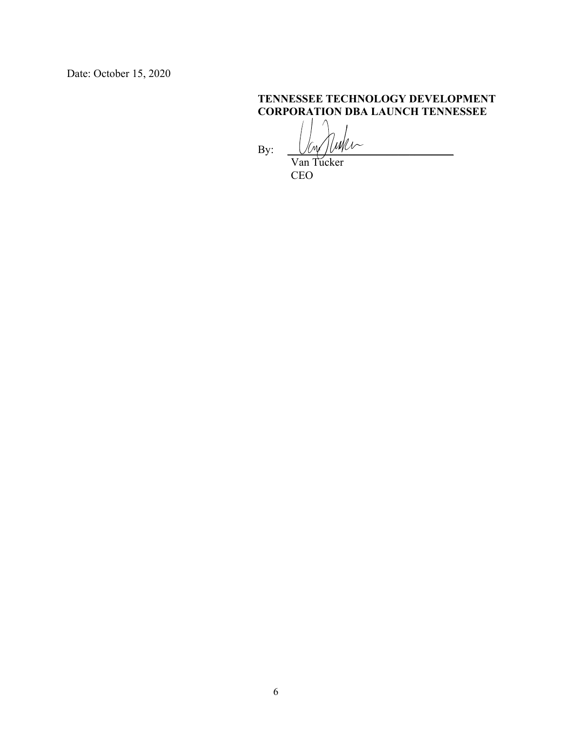Date: October 15, 2020

## **TENNESSEE TECHNOLOGY DEVELOPMENT CORPORATION DBA LAUNCH TENNESSEE**

By:  $U_{\mathcal{W}}/U_{\mathcal{W}}$ 

 Van Tucker CEO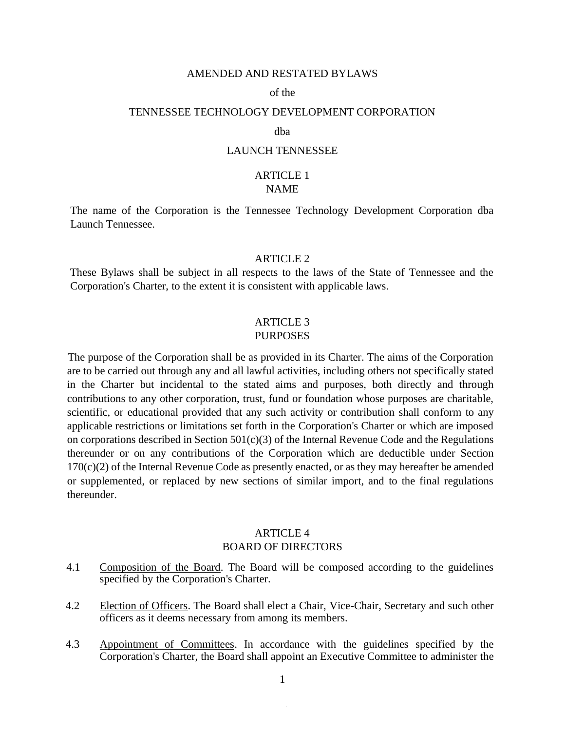#### AMENDED AND RESTATED BYLAWS

#### of the

## TENNESSEE TECHNOLOGY DEVELOPMENT CORPORATION

### dba

# LAUNCH TENNESSEE

#### ARTICLE 1 NAME

The name of the Corporation is the Tennessee Technology Development Corporation dba Launch Tennessee.

### ARTICLE 2

These Bylaws shall be subject in all respects to the laws of the State of Tennessee and the Corporation's Charter, to the extent it is consistent with applicable laws.

#### ARTICLE 3 PURPOSES

The purpose of the Corporation shall be as provided in its Charter. The aims of the Corporation are to be carried out through any and all lawful activities, including others not specifically stated in the Charter but incidental to the stated aims and purposes, both directly and through contributions to any other corporation, trust, fund or foundation whose purposes are charitable, scientific, or educational provided that any such activity or contribution shall conform to any applicable restrictions or limitations set forth in the Corporation's Charter or which are imposed on corporations described in Section  $501(c)(3)$  of the Internal Revenue Code and the Regulations thereunder or on any contributions of the Corporation which are deductible under Section  $170(c)(2)$  of the Internal Revenue Code as presently enacted, or as they may hereafter be amended or supplemented, or replaced by new sections of similar import, and to the final regulations thereunder.

## ARTICLE 4 BOARD OF DIRECTORS

- 4.1 Composition of the Board. The Board will be composed according to the guidelines specified by the Corporation's Charter.
- 4.2 Election of Officers. The Board shall elect a Chair, Vice-Chair, Secretary and such other officers as it deems necessary from among its members.
- 4.3 Appointment of Committees. In accordance with the guidelines specified by the Corporation's Charter, the Board shall appoint an Executive Committee to administer the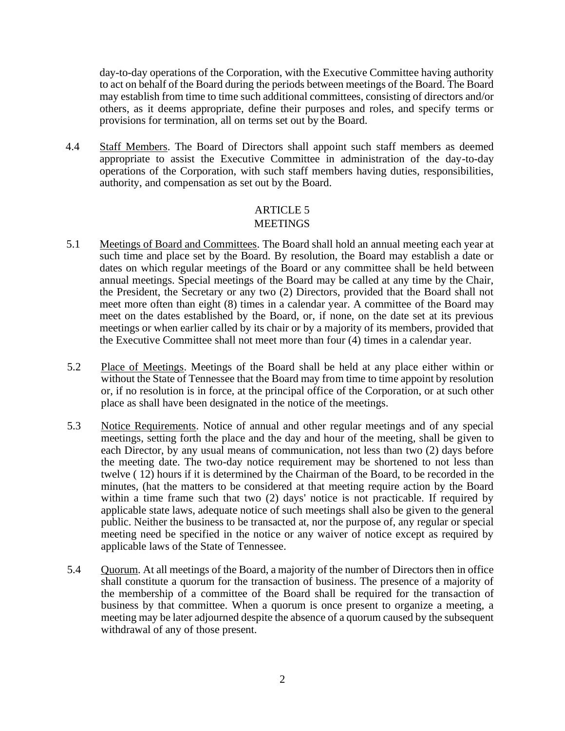day-to-day operations of the Corporation, with the Executive Committee having authority to act on behalf of the Board during the periods between meetings of the Board. The Board may establish from time to time such additional committees, consisting of directors and/or others, as it deems appropriate, define their purposes and roles, and specify terms or provisions for termination, all on terms set out by the Board.

4.4 Staff Members. The Board of Directors shall appoint such staff members as deemed appropriate to assist the Executive Committee in administration of the day-to-day operations of the Corporation, with such staff members having duties, responsibilities, authority, and compensation as set out by the Board.

## ARTICLE 5 **MEETINGS**

- 5.1 Meetings of Board and Committees. The Board shall hold an annual meeting each year at such time and place set by the Board. By resolution, the Board may establish a date or dates on which regular meetings of the Board or any committee shall be held between annual meetings. Special meetings of the Board may be called at any time by the Chair, the President, the Secretary or any two (2) Directors, provided that the Board shall not meet more often than eight (8) times in a calendar year. A committee of the Board may meet on the dates established by the Board, or, if none, on the date set at its previous meetings or when earlier called by its chair or by a majority of its members, provided that the Executive Committee shall not meet more than four (4) times in a calendar year.
- 5.2 Place of Meetings. Meetings of the Board shall be held at any place either within or without the State of Tennessee that the Board may from time to time appoint by resolution or, if no resolution is in force, at the principal office of the Corporation, or at such other place as shall have been designated in the notice of the meetings.
- 5.3 Notice Requirements. Notice of annual and other regular meetings and of any special meetings, setting forth the place and the day and hour of the meeting, shall be given to each Director, by any usual means of communication, not less than two (2) days before the meeting date. The two-day notice requirement may be shortened to not less than twelve ( 12) hours if it is determined by the Chairman of the Board, to be recorded in the minutes, (hat the matters to be considered at that meeting require action by the Board within a time frame such that two (2) days' notice is not practicable. If required by applicable state laws, adequate notice of such meetings shall also be given to the general public. Neither the business to be transacted at, nor the purpose of, any regular or special meeting need be specified in the notice or any waiver of notice except as required by applicable laws of the State of Tennessee.
- 5.4 Quorum. At all meetings of the Board, a majority of the number of Directors then in office shall constitute a quorum for the transaction of business. The presence of a majority of the membership of a committee of the Board shall be required for the transaction of business by that committee. When a quorum is once present to organize a meeting, a meeting may be later adjourned despite the absence of a quorum caused by the subsequent withdrawal of any of those present.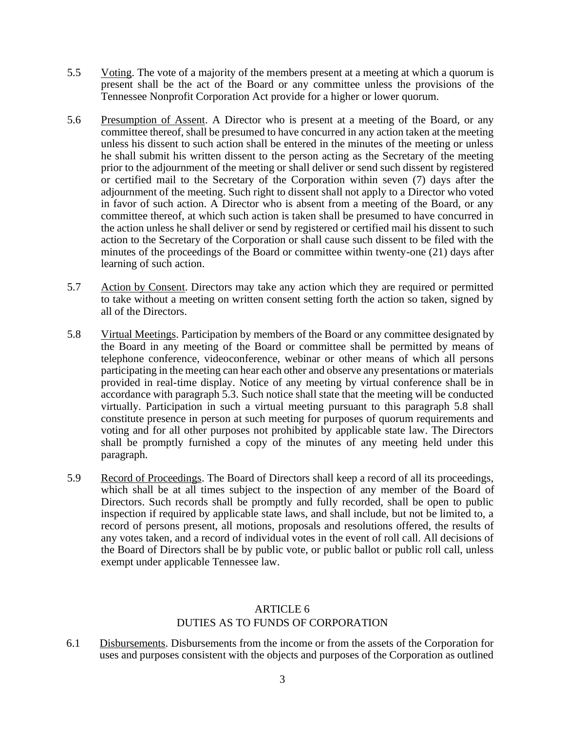- 5.5 Voting. The vote of a majority of the members present at a meeting at which a quorum is present shall be the act of the Board or any committee unless the provisions of the Tennessee Nonprofit Corporation Act provide for a higher or lower quorum.
- 5.6 Presumption of Assent. A Director who is present at a meeting of the Board, or any committee thereof, shall be presumed to have concurred in any action taken at the meeting unless his dissent to such action shall be entered in the minutes of the meeting or unless he shall submit his written dissent to the person acting as the Secretary of the meeting prior to the adjournment of the meeting or shall deliver or send such dissent by registered or certified mail to the Secretary of the Corporation within seven (7) days after the adjournment of the meeting. Such right to dissent shall not apply to a Director who voted in favor of such action. A Director who is absent from a meeting of the Board, or any committee thereof, at which such action is taken shall be presumed to have concurred in the action unless he shall deliver or send by registered or certified mail his dissent to such action to the Secretary of the Corporation or shall cause such dissent to be filed with the minutes of the proceedings of the Board or committee within twenty-one (21) days after learning of such action.
- 5.7 Action by Consent. Directors may take any action which they are required or permitted to take without a meeting on written consent setting forth the action so taken, signed by all of the Directors.
- 5.8 Virtual Meetings. Participation by members of the Board or any committee designated by the Board in any meeting of the Board or committee shall be permitted by means of telephone conference, videoconference, webinar or other means of which all persons participating in the meeting can hear each other and observe any presentations or materials provided in real-time display. Notice of any meeting by virtual conference shall be in accordance with paragraph 5.3. Such notice shall state that the meeting will be conducted virtually. Participation in such a virtual meeting pursuant to this paragraph 5.8 shall constitute presence in person at such meeting for purposes of quorum requirements and voting and for all other purposes not prohibited by applicable state law. The Directors shall be promptly furnished a copy of the minutes of any meeting held under this paragraph.
- 5.9 Record of Proceedings. The Board of Directors shall keep a record of all its proceedings, which shall be at all times subject to the inspection of any member of the Board of Directors. Such records shall be promptly and fully recorded, shall be open to public inspection if required by applicable state laws, and shall include, but not be limited to, a record of persons present, all motions, proposals and resolutions offered, the results of any votes taken, and a record of individual votes in the event of roll call. All decisions of the Board of Directors shall be by public vote, or public ballot or public roll call, unless exempt under applicable Tennessee law.

# ARTICLE 6 DUTIES AS TO FUNDS OF CORPORATION

6.1 Disbursements. Disbursements from the income or from the assets of the Corporation for uses and purposes consistent with the objects and purposes of the Corporation as outlined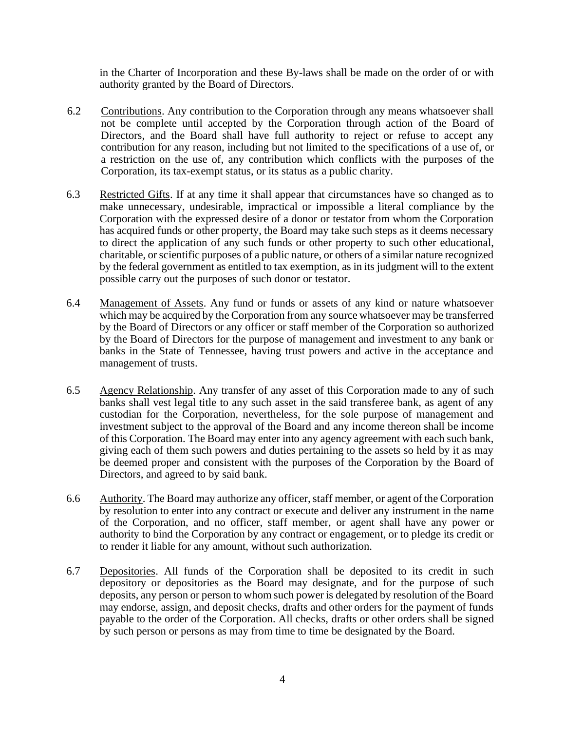in the Charter of Incorporation and these By-laws shall be made on the order of or with authority granted by the Board of Directors.

- 6.2 Contributions. Any contribution to the Corporation through any means whatsoever shall not be complete until accepted by the Corporation through action of the Board of Directors, and the Board shall have full authority to reject or refuse to accept any contribution for any reason, including but not limited to the specifications of a use of, or a restriction on the use of, any contribution which conflicts with the purposes of the Corporation, its tax-exempt status, or its status as a public charity.
- 6.3 Restricted Gifts. If at any time it shall appear that circumstances have so changed as to make unnecessary, undesirable, impractical or impossible a literal compliance by the Corporation with the expressed desire of a donor or testator from whom the Corporation has acquired funds or other property, the Board may take such steps as it deems necessary to direct the application of any such funds or other property to such other educational, charitable, or scientific purposes of a public nature, or others of a similar nature recognized by the federal government as entitled to tax exemption, as in its judgment will to the extent possible carry out the purposes of such donor or testator.
- 6.4 Management of Assets. Any fund or funds or assets of any kind or nature whatsoever which may be acquired by the Corporation from any source whatsoever may be transferred by the Board of Directors or any officer or staff member of the Corporation so authorized by the Board of Directors for the purpose of management and investment to any bank or banks in the State of Tennessee, having trust powers and active in the acceptance and management of trusts.
- 6.5 Agency Relationship. Any transfer of any asset of this Corporation made to any of such banks shall vest legal title to any such asset in the said transferee bank, as agent of any custodian for the Corporation, nevertheless, for the sole purpose of management and investment subject to the approval of the Board and any income thereon shall be income of this Corporation. The Board may enter into any agency agreement with each such bank, giving each of them such powers and duties pertaining to the assets so held by it as may be deemed proper and consistent with the purposes of the Corporation by the Board of Directors, and agreed to by said bank.
- 6.6 Authority. The Board may authorize any officer, staff member, or agent of the Corporation by resolution to enter into any contract or execute and deliver any instrument in the name of the Corporation, and no officer, staff member, or agent shall have any power or authority to bind the Corporation by any contract or engagement, or to pledge its credit or to render it liable for any amount, without such authorization.
- 6.7 Depositories. All funds of the Corporation shall be deposited to its credit in such depository or depositories as the Board may designate, and for the purpose of such deposits, any person or person to whom such power is delegated by resolution of the Board may endorse, assign, and deposit checks, drafts and other orders for the payment of funds payable to the order of the Corporation. All checks, drafts or other orders shall be signed by such person or persons as may from time to time be designated by the Board.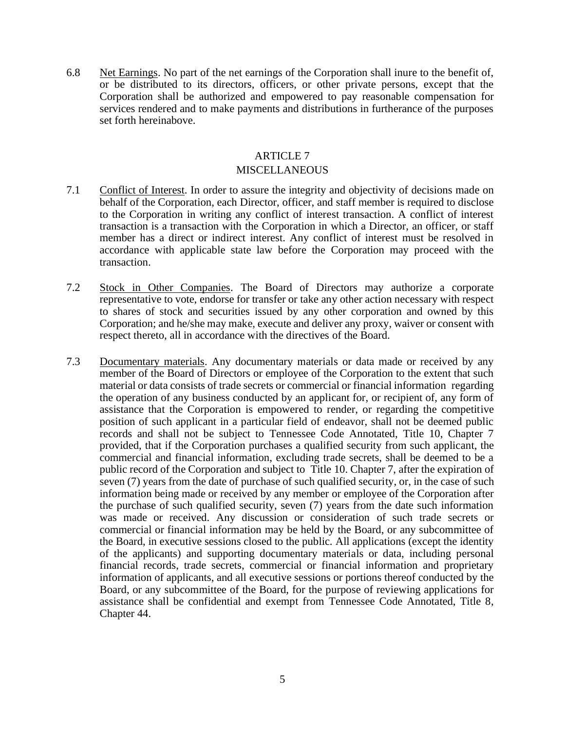6.8 Net Earnings. No part of the net earnings of the Corporation shall inure to the benefit of, or be distributed to its directors, officers, or other private persons, except that the Corporation shall be authorized and empowered to pay reasonable compensation for services rendered and to make payments and distributions in furtherance of the purposes set forth hereinabove.

## ARTICLE 7

## MISCELLANEOUS

- 7.1 Conflict of Interest. In order to assure the integrity and objectivity of decisions made on behalf of the Corporation, each Director, officer, and staff member is required to disclose to the Corporation in writing any conflict of interest transaction. A conflict of interest transaction is a transaction with the Corporation in which a Director, an officer, or staff member has a direct or indirect interest. Any conflict of interest must be resolved in accordance with applicable state law before the Corporation may proceed with the transaction.
- 7.2 Stock in Other Companies. The Board of Directors may authorize a corporate representative to vote, endorse for transfer or take any other action necessary with respect to shares of stock and securities issued by any other corporation and owned by this Corporation; and he/she may make, execute and deliver any proxy, waiver or consent with respect thereto, all in accordance with the directives of the Board.
- 7.3 Documentary materials. Any documentary materials or data made or received by any member of the Board of Directors or employee of the Corporation to the extent that such material or data consists of trade secrets or commercial or financial information regarding the operation of any business conducted by an applicant for, or recipient of, any form of assistance that the Corporation is empowered to render, or regarding the competitive position of such applicant in a particular field of endeavor, shall not be deemed public records and shall not be subject to Tennessee Code Annotated, Title 10, Chapter 7 provided, that if the Corporation purchases a qualified security from such applicant, the commercial and financial information, excluding trade secrets, shall be deemed to be a public record of the Corporation and subject to Title 10. Chapter 7, after the expiration of seven (7) years from the date of purchase of such qualified security, or, in the case of such information being made or received by any member or employee of the Corporation after the purchase of such qualified security, seven (7) years from the date such information was made or received. Any discussion or consideration of such trade secrets or commercial or financial information may be held by the Board, or any subcommittee of the Board, in executive sessions closed to the public. All applications (except the identity of the applicants) and supporting documentary materials or data, including personal financial records, trade secrets, commercial or financial information and proprietary information of applicants, and all executive sessions or portions thereof conducted by the Board, or any subcommittee of the Board, for the purpose of reviewing applications for assistance shall be confidential and exempt from Tennessee Code Annotated, Title 8, Chapter 44.